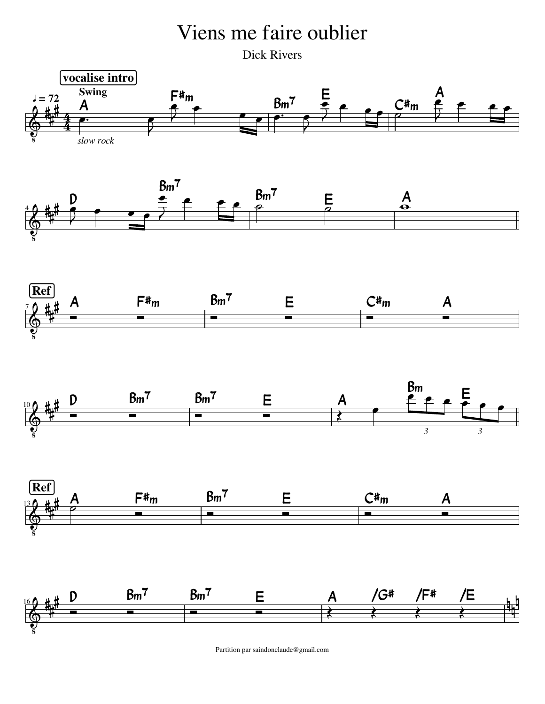## Viens me faire oublier

Dick Rivers











Partition par saindonclaude@gmail.com